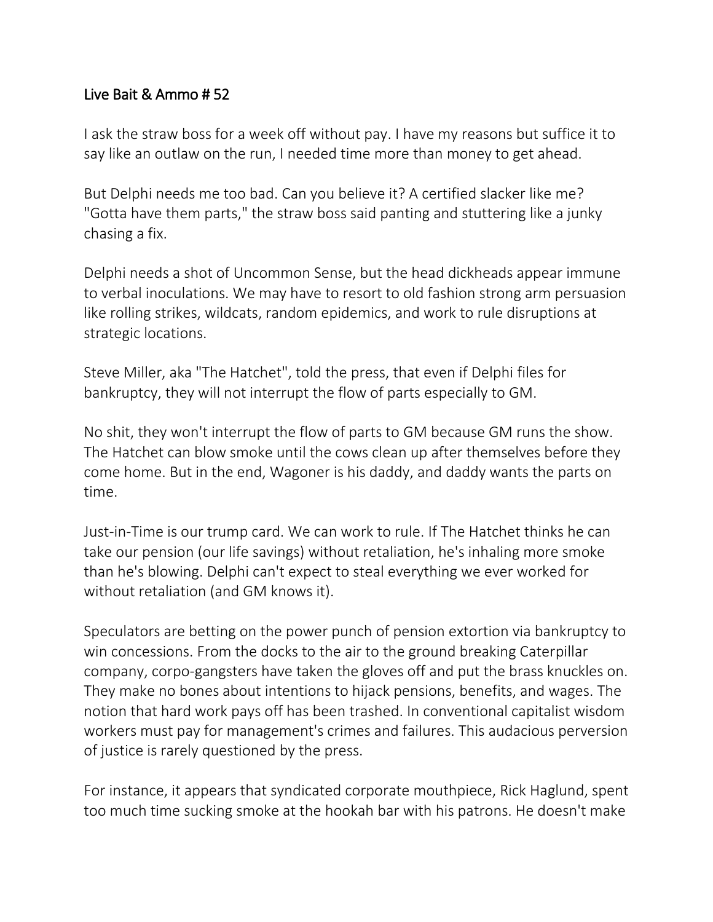## Live Bait & Ammo # 52

I ask the straw boss for a week off without pay. I have my reasons but suffice it to say like an outlaw on the run, I needed time more than money to get ahead.

But Delphi needs me too bad. Can you believe it? A certified slacker like me? "Gotta have them parts," the straw boss said panting and stuttering like a junky chasing a fix.

Delphi needs a shot of Uncommon Sense, but the head dickheads appear immune to verbal inoculations. We may have to resort to old fashion strong arm persuasion like rolling strikes, wildcats, random epidemics, and work to rule disruptions at strategic locations.

Steve Miller, aka "The Hatchet", told the press, that even if Delphi files for bankruptcy, they will not interrupt the flow of parts especially to GM.

No shit, they won't interrupt the flow of parts to GM because GM runs the show. The Hatchet can blow smoke until the cows clean up after themselves before they come home. But in the end, Wagoner is his daddy, and daddy wants the parts on time.

Just-in-Time is our trump card. We can work to rule. If The Hatchet thinks he can take our pension (our life savings) without retaliation, he's inhaling more smoke than he's blowing. Delphi can't expect to steal everything we ever worked for without retaliation (and GM knows it).

Speculators are betting on the power punch of pension extortion via bankruptcy to win concessions. From the docks to the air to the ground breaking Caterpillar company, corpo-gangsters have taken the gloves off and put the brass knuckles on. They make no bones about intentions to hijack pensions, benefits, and wages. The notion that hard work pays off has been trashed. In conventional capitalist wisdom workers must pay for management's crimes and failures. This audacious perversion of justice is rarely questioned by the press.

For instance, it appears that syndicated corporate mouthpiece, Rick Haglund, spent too much time sucking smoke at the hookah bar with his patrons. He doesn't make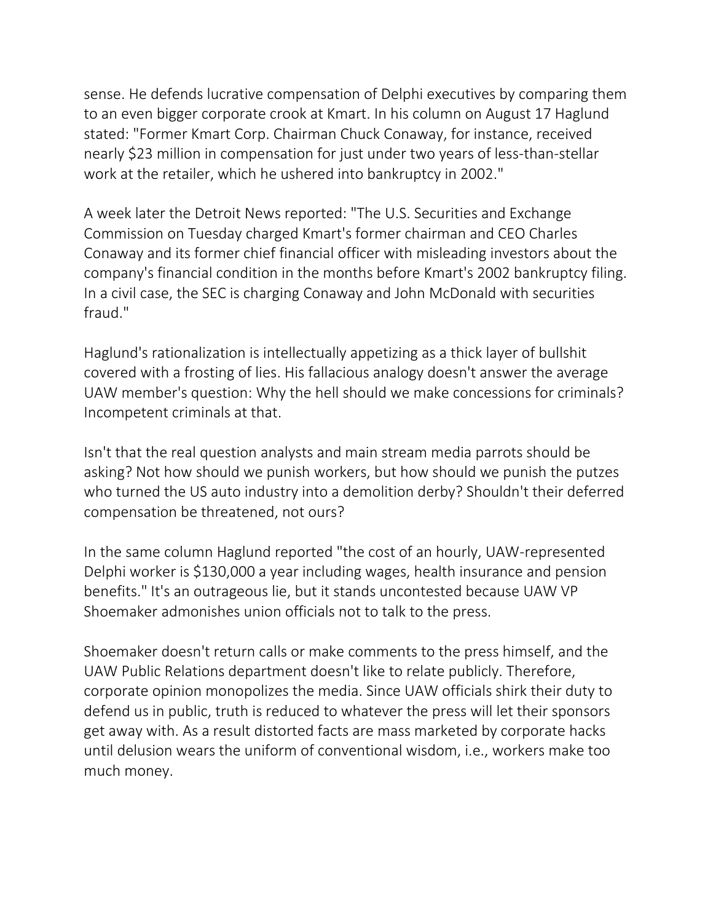sense. He defends lucrative compensation of Delphi executives by comparing them to an even bigger corporate crook at Kmart. In his column on August 17 Haglund stated: "Former Kmart Corp. Chairman Chuck Conaway, for instance, received nearly \$23 million in compensation for just under two years of less-than-stellar work at the retailer, which he ushered into bankruptcy in 2002."

A week later the Detroit News reported: "The U.S. Securities and Exchange Commission on Tuesday charged Kmart's former chairman and CEO Charles Conaway and its former chief financial officer with misleading investors about the company's financial condition in the months before Kmart's 2002 bankruptcy filing. In a civil case, the SEC is charging Conaway and John McDonald with securities fraud."

Haglund's rationalization is intellectually appetizing as a thick layer of bullshit covered with a frosting of lies. His fallacious analogy doesn't answer the average UAW member's question: Why the hell should we make concessions for criminals? Incompetent criminals at that.

Isn't that the real question analysts and main stream media parrots should be asking? Not how should we punish workers, but how should we punish the putzes who turned the US auto industry into a demolition derby? Shouldn't their deferred compensation be threatened, not ours?

In the same column Haglund reported "the cost of an hourly, UAW-represented Delphi worker is \$130,000 a year including wages, health insurance and pension benefits." It's an outrageous lie, but it stands uncontested because UAW VP Shoemaker admonishes union officials not to talk to the press.

Shoemaker doesn't return calls or make comments to the press himself, and the UAW Public Relations department doesn't like to relate publicly. Therefore, corporate opinion monopolizes the media. Since UAW officials shirk their duty to defend us in public, truth is reduced to whatever the press will let their sponsors get away with. As a result distorted facts are mass marketed by corporate hacks until delusion wears the uniform of conventional wisdom, i.e., workers make too much money.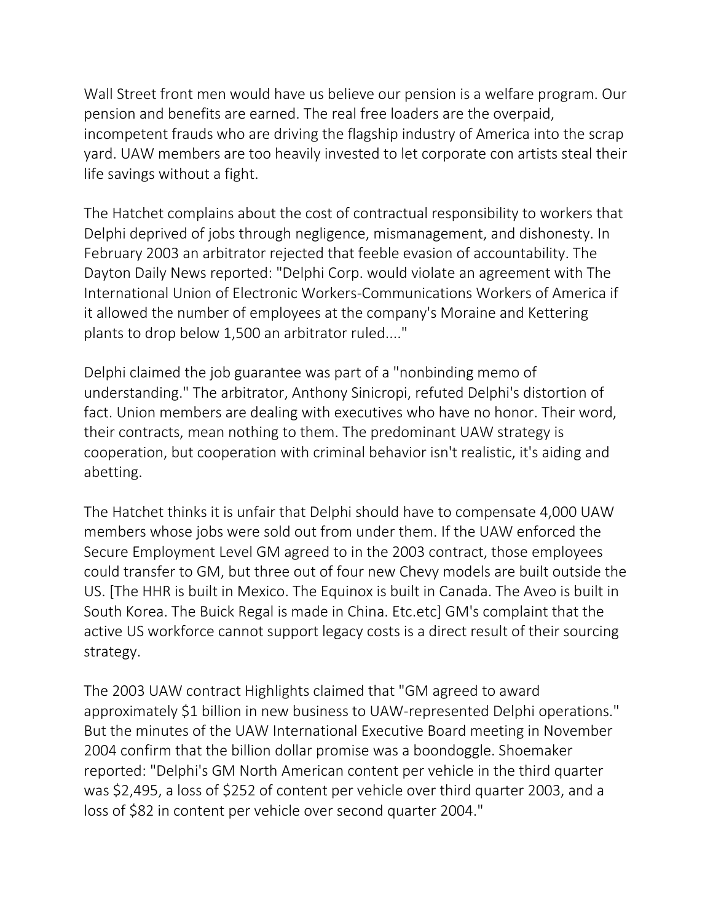Wall Street front men would have us believe our pension is a welfare program. Our pension and benefits are earned. The real free loaders are the overpaid, incompetent frauds who are driving the flagship industry of America into the scrap yard. UAW members are too heavily invested to let corporate con artists steal their life savings without a fight.

The Hatchet complains about the cost of contractual responsibility to workers that Delphi deprived of jobs through negligence, mismanagement, and dishonesty. In February 2003 an arbitrator rejected that feeble evasion of accountability. The Dayton Daily News reported: "Delphi Corp. would violate an agreement with The International Union of Electronic Workers-Communications Workers of America if it allowed the number of employees at the company's Moraine and Kettering plants to drop below 1,500 an arbitrator ruled...."

Delphi claimed the job guarantee was part of a "nonbinding memo of understanding." The arbitrator, Anthony Sinicropi, refuted Delphi's distortion of fact. Union members are dealing with executives who have no honor. Their word, their contracts, mean nothing to them. The predominant UAW strategy is cooperation, but cooperation with criminal behavior isn't realistic, it's aiding and abetting.

The Hatchet thinks it is unfair that Delphi should have to compensate 4,000 UAW members whose jobs were sold out from under them. If the UAW enforced the Secure Employment Level GM agreed to in the 2003 contract, those employees could transfer to GM, but three out of four new Chevy models are built outside the US. [The HHR is built in Mexico. The Equinox is built in Canada. The Aveo is built in South Korea. The Buick Regal is made in China. Etc.etc] GM's complaint that the active US workforce cannot support legacy costs is a direct result of their sourcing strategy.

The 2003 UAW contract Highlights claimed that "GM agreed to award approximately \$1 billion in new business to UAW-represented Delphi operations." But the minutes of the UAW International Executive Board meeting in November 2004 confirm that the billion dollar promise was a boondoggle. Shoemaker reported: "Delphi's GM North American content per vehicle in the third quarter was \$2,495, a loss of \$252 of content per vehicle over third quarter 2003, and a loss of \$82 in content per vehicle over second quarter 2004."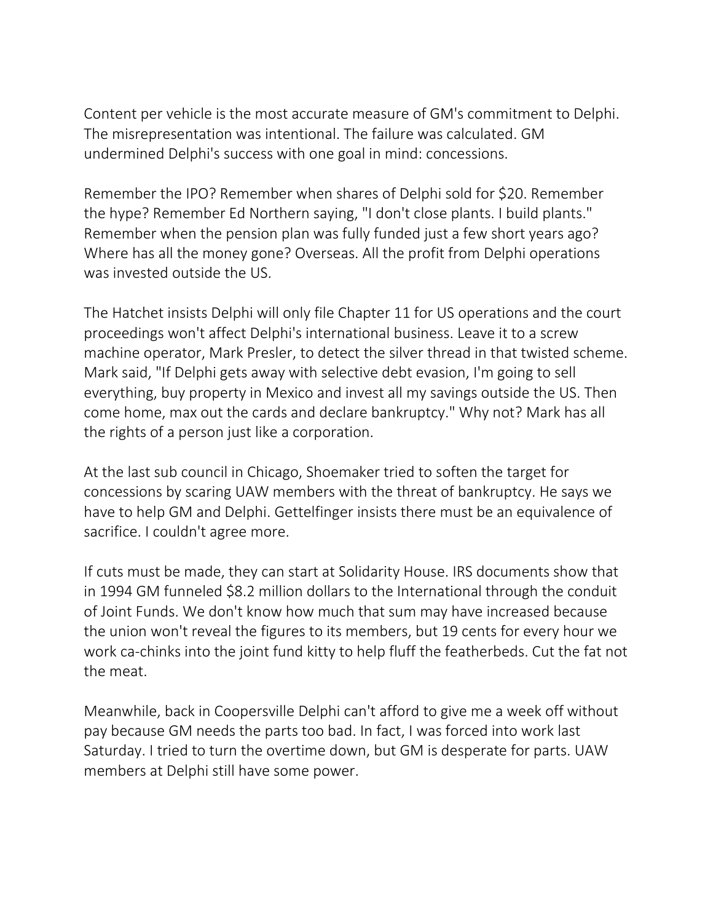Content per vehicle is the most accurate measure of GM's commitment to Delphi. The misrepresentation was intentional. The failure was calculated. GM undermined Delphi's success with one goal in mind: concessions.

Remember the IPO? Remember when shares of Delphi sold for \$20. Remember the hype? Remember Ed Northern saying, "I don't close plants. I build plants." Remember when the pension plan was fully funded just a few short years ago? Where has all the money gone? Overseas. All the profit from Delphi operations was invested outside the US.

The Hatchet insists Delphi will only file Chapter 11 for US operations and the court proceedings won't affect Delphi's international business. Leave it to a screw machine operator, Mark Presler, to detect the silver thread in that twisted scheme. Mark said, "If Delphi gets away with selective debt evasion, I'm going to sell everything, buy property in Mexico and invest all my savings outside the US. Then come home, max out the cards and declare bankruptcy." Why not? Mark has all the rights of a person just like a corporation.

At the last sub council in Chicago, Shoemaker tried to soften the target for concessions by scaring UAW members with the threat of bankruptcy. He says we have to help GM and Delphi. Gettelfinger insists there must be an equivalence of sacrifice. I couldn't agree more.

If cuts must be made, they can start at Solidarity House. IRS documents show that in 1994 GM funneled \$8.2 million dollars to the International through the conduit of Joint Funds. We don't know how much that sum may have increased because the union won't reveal the figures to its members, but 19 cents for every hour we work ca-chinks into the joint fund kitty to help fluff the featherbeds. Cut the fat not the meat.

Meanwhile, back in Coopersville Delphi can't afford to give me a week off without pay because GM needs the parts too bad. In fact, I was forced into work last Saturday. I tried to turn the overtime down, but GM is desperate for parts. UAW members at Delphi still have some power.